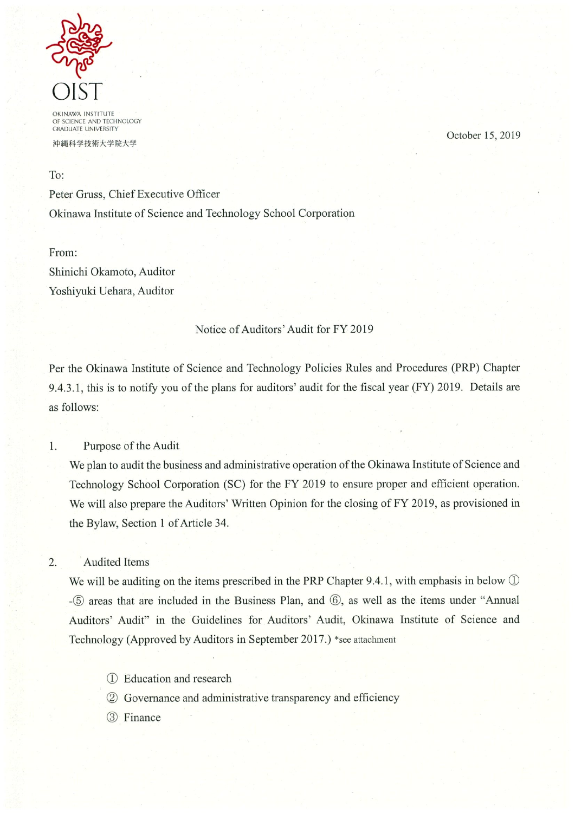

**OKINAWA INSTITUTE** OF SCIENCE AND TECHNOLOGY<br>GRADUATE UNIVERSITY

沖縄科学技術大学院大学

October 15, 2019

To:

Peter Gruss, Chief Executive Officer Okinawa Institute of Science and Technology School Corporation

From: Shinichi Okamoto, Auditor Yoshiyuki Uehara, Auditor

### Notice of Auditors' Audit for FY 2019

Per the Okinawa Institute of Science and Technology Policies Rules and Procedures (PRP) Chapter 9.4.3.1, this is to notify you of the plans for auditors' audit for the fiscal year (FY) 2019. Details are as follows:

1. Purpose of the Audit

> We plan to audit the business and administrative operation of the Okinawa Institute of Science and Technology School Corporation (SC) for the FY 2019 to ensure proper and efficient operation. We will also prepare the Auditors' Written Opinion for the closing of FY 2019, as provisioned in the Bylaw, Section 1 of Article 34.

 $\overline{2}$ . **Audited Items** 

> We will be auditing on the items prescribed in the PRP Chapter 9.4.1, with emphasis in below  $\mathbb D$ -5 areas that are included in the Business Plan, and 6, as well as the items under "Annual Auditors' Audit" in the Guidelines for Auditors' Audit, Okinawa Institute of Science and Technology (Approved by Auditors in September 2017.) \*see attachment

- 1) Education and research
- 2 Governance and administrative transparency and efficiency
- 3 Finance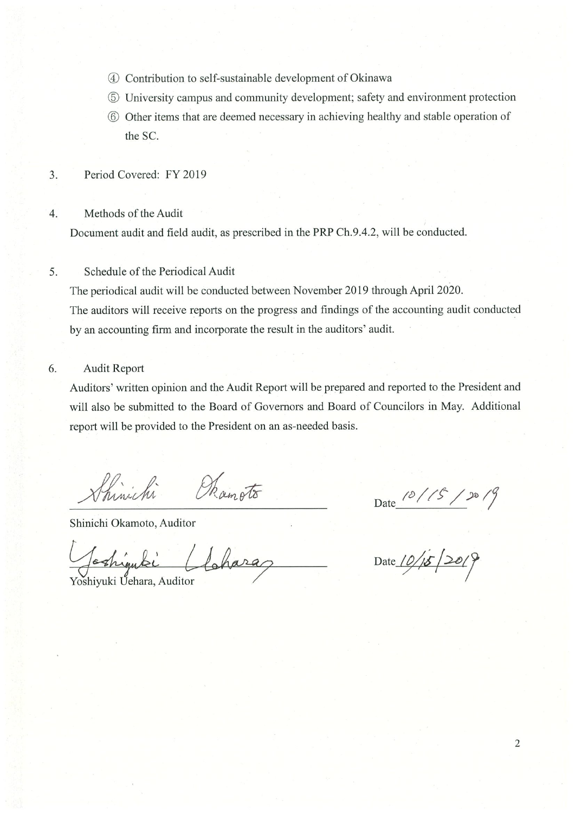- 4 Contribution to self-sustainable development of Okinawa
- 5 University campus and community development; safety and environment protection
- 6 Other items that are deemed necessary in achieving healthy and stable operation of the SC.
- Period Covered: FY 2019  $3.$

#### Methods of the Audit  $\overline{4}$ .

Document audit and field audit, as prescribed in the PRP Ch.9.4.2, will be conducted.

#### 5. Schedule of the Periodical Audit

The periodical audit will be conducted between November 2019 through April 2020. The auditors will receive reports on the progress and findings of the accounting audit conducted by an accounting firm and incorporate the result in the auditors' audit.

6. **Audit Report** 

> Auditors' written opinion and the Audit Report will be prepared and reported to the President and will also be submitted to the Board of Governors and Board of Councilors in May. Additional report will be provided to the President on an as-needed basis.

Shinichi Ramoto

Shinichi Okamoto, Auditor

Cloharaz

Yoshiyuki Uehara, Auditor

Date  $\frac{10}{5}/5$ <br>Date  $\frac{10}{5}/20$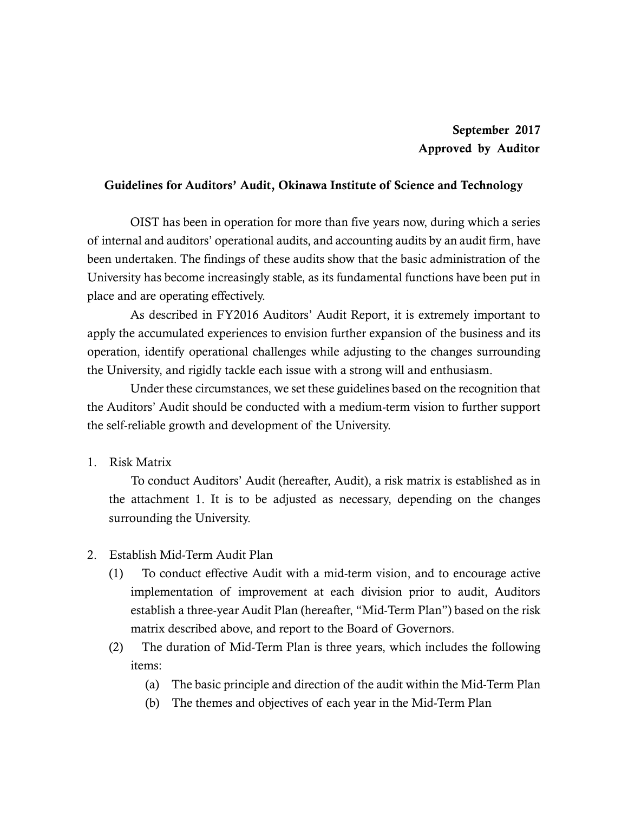## Guidelines for Auditors' Audit, Okinawa Institute of Science and Technology

OIST has been in operation for more than five years now, during which a series of internal and auditors' operational audits, and accounting audits by an audit firm, have been undertaken. The findings of these audits show that the basic administration of the University has become increasingly stable, as its fundamental functions have been put in place and are operating effectively.

As described in FY2016 Auditors' Audit Report, it is extremely important to apply the accumulated experiences to envision further expansion of the business and its operation, identify operational challenges while adjusting to the changes surrounding the University, and rigidly tackle each issue with a strong will and enthusiasm.

Under these circumstances, we set these guidelines based on the recognition that the Auditors' Audit should be conducted with a medium-term vision to further support the self-reliable growth and development of the University.

1. Risk Matrix

To conduct Auditors' Audit (hereafter, Audit), a risk matrix is established as in the attachment 1. It is to be adjusted as necessary, depending on the changes surrounding the University.

- 2. Establish Mid-Term Audit Plan
	- (1) To conduct effective Audit with a mid-term vision, and to encourage active implementation of improvement at each division prior to audit, Auditors establish a three-year Audit Plan (hereafter, "Mid-Term Plan") based on the risk matrix described above, and report to the Board of Governors.
	- (2) The duration of Mid-Term Plan is three years, which includes the following items:
		- (a) The basic principle and direction of the audit within the Mid-Term Plan
		- (b) The themes and objectives of each year in the Mid-Term Plan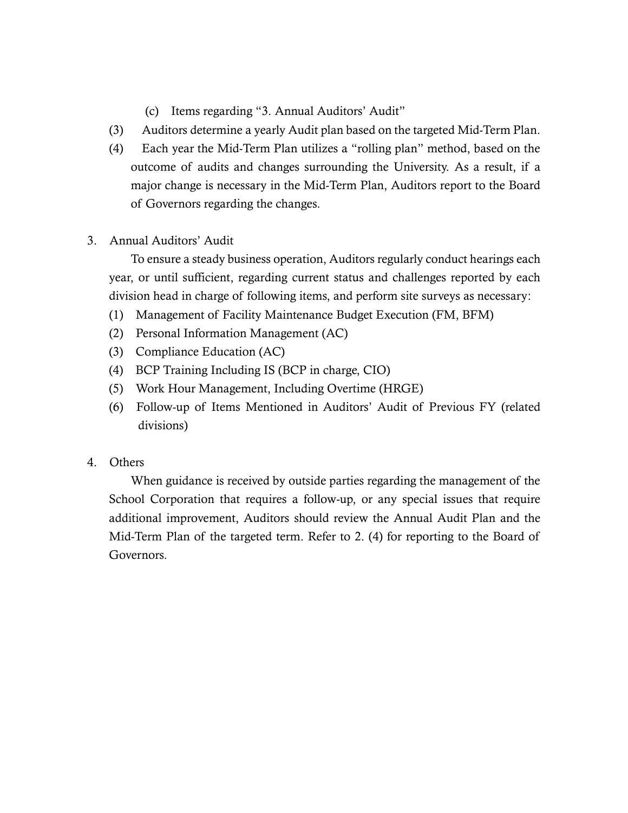- (c) Items regarding "3. Annual Auditors' Audit"
- (3) Auditors determine a yearly Audit plan based on the targeted Mid-Term Plan.
- (4) Each year the Mid-Term Plan utilizes a "rolling plan" method, based on the outcome of audits and changes surrounding the University. As a result, if a major change is necessary in the Mid-Term Plan, Auditors report to the Board of Governors regarding the changes.
- 3. Annual Auditors' Audit

To ensure a steady business operation, Auditors regularly conduct hearings each year, or until sufficient, regarding current status and challenges reported by each division head in charge of following items, and perform site surveys as necessary:

- (1) Management of Facility Maintenance Budget Execution (FM, BFM)
- (2) Personal Information Management (AC)
- (3) Compliance Education (AC)
- (4) BCP Training Including IS (BCP in charge, CIO)
- (5) Work Hour Management, Including Overtime (HRGE)
- (6) Follow-up of Items Mentioned in Auditors' Audit of Previous FY (related divisions)
- 4. Others

When guidance is received by outside parties regarding the management of the School Corporation that requires a follow-up, or any special issues that require additional improvement, Auditors should review the Annual Audit Plan and the Mid-Term Plan of the targeted term. Refer to 2. (4) for reporting to the Board of Governors.